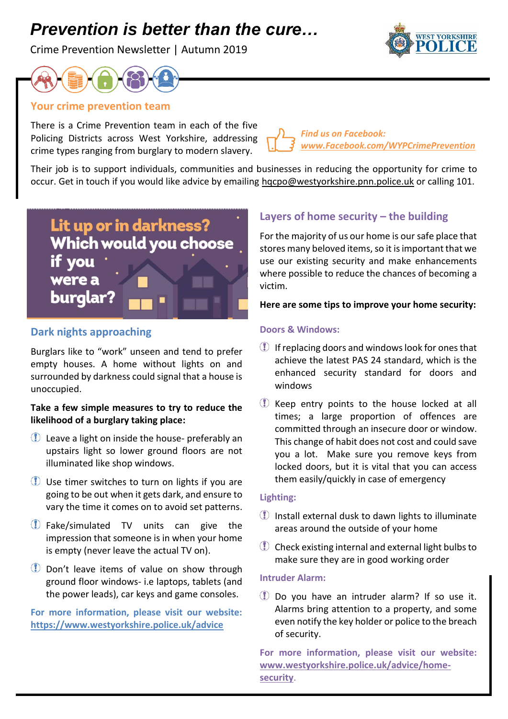# *Prevention is better than the cure…*

Crime Prevention Newsletter | Autumn 2019





## **Your crime prevention team**

There is a Crime Prevention team in each of the five Policing Districts across West Yorkshire, addressing crime types ranging from burglary to modern slavery.

*Find us on Facebook: [www.Facebook.com/WYPCrimePrevention](http://www.facebook.com/WYPCrimePrevention)*

Their job is to support individuals, communities and businesses in reducing the opportunity for crime to occur. Get in touch if you would like advice by emailing [hqcpo@westyorkshire.pnn.police.uk](mailto:hqcpo@westyorkshire.pnn.police.uk) or calling 101.

Lit up or in darkness? Which would you choose if you were a burglar?

# **Dark nights approaching**

Burglars like to "work" unseen and tend to prefer empty houses. A home without lights on and surrounded by darkness could signal that a house is unoccupied.

### **Take a few simple measures to try to reduce the likelihood of a burglary taking place:**

- Leave a light on inside the house- preferably an upstairs light so lower ground floors are not illuminated like shop windows.
- Use timer switches to turn on lights if you are going to be out when it gets dark, and ensure to vary the time it comes on to avoid set patterns.
- Fake/simulated TV units can give the impression that someone is in when your home is empty (never leave the actual TV on).
- Don't leave items of value on show through ground floor windows- i.e laptops, tablets (and the power leads), car keys and game consoles.

**For more information, please visit our website: <https://www.westyorkshire.police.uk/advice>**

# **Layers of home security – the building**

For the majority of us our home is our safe place that stores many beloved items, so it is important that we use our existing security and make enhancements where possible to reduce the chances of becoming a victim.

#### **Here are some tips to improve your home security:**

#### **Doors & Windows:**

- **If replacing doors and windows look for ones that** achieve the latest PAS 24 standard, which is the enhanced security standard for doors and windows
- E Keep entry points to the house locked at all times; a large proportion of offences are committed through an insecure door or window. This change of habit does not cost and could save you a lot. Make sure you remove keys from locked doors, but it is vital that you can access them easily/quickly in case of emergency

#### **Lighting:**

- Install external dusk to dawn lights to illuminate areas around the outside of your home
- Check existing internal and external light bulbs to make sure they are in good working order

#### **Intruder Alarm:**

Do you have an intruder alarm? If so use it. Alarms bring attention to a property, and some even notify the key holder or police to the breach of security.

**For more information, please visit our website: [www.westyorkshire.police.uk/advice/home](http://www.westyorkshire.police.uk/advice/home-security)[security](http://www.westyorkshire.police.uk/advice/home-security)**.